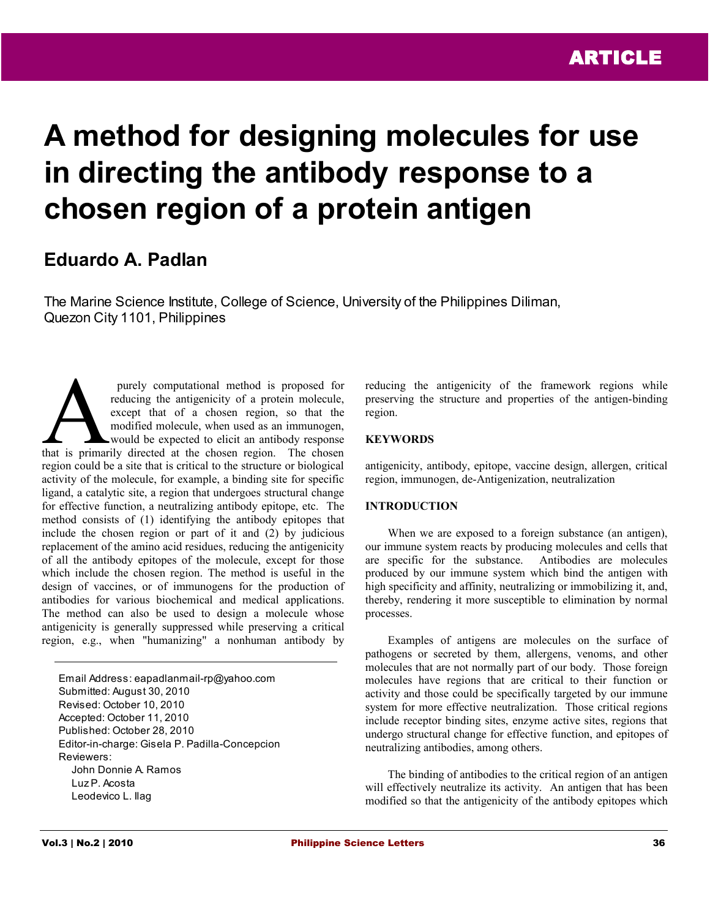# **A method for designing molecules for use in directing the antibody response to a chosen region of a protein antigen**

# **Eduardo A. Padlan**

The Marine Science Institute, College of Science, University of the Philippines Diliman, Quezon City 1101, Philippines

 purely computational method is proposed for reducing the antigenicity of a protein molecule, except that of a chosen region, so that the modified molecule, when used as an immunogen, would be expected to elicit an antibody response purely computational method is proposed for<br>reducing the antigenicity of a protein molecule,<br>except that of a chosen region, so that the<br>modified molecule, when used as an immunogen,<br>that is primarily directed at the chose region could be a site that is critical to the structure or biological activity of the molecule, for example, a binding site for specific ligand, a catalytic site, a region that undergoes structural change for effective function, a neutralizing antibody epitope, etc. The method consists of (1) identifying the antibody epitopes that include the chosen region or part of it and (2) by judicious replacement of the amino acid residues, reducing the antigenicity of all the antibody epitopes of the molecule, except for those which include the chosen region. The method is useful in the design of vaccines, or of immunogens for the production of antibodies for various biochemical and medical applications. The method can also be used to design a molecule whose antigenicity is generally suppressed while preserving a critical region, e.g., when "humanizing" a nonhuman antibody by

Email Address: eapadlanmail-rp@yahoo.com Submitted: August 30, 2010 Revised: October 10, 2010 Accepted: October 11, 2010 Published: October 28, 2010 Editor-in-charge: Gisela P. Padilla-Concepcion Reviewers: John Donnie A. Ramos Luz P. Acosta Leodevico L. Ilag

reducing the antigenicity of the framework regions while preserving the structure and properties of the antigen-binding region.

# **KEYWORDS**

antigenicity, antibody, epitope, vaccine design, allergen, critical region, immunogen, de-Antigenization, neutralization

# **INTRODUCTION**

When we are exposed to a foreign substance (an antigen), our immune system reacts by producing molecules and cells that are specific for the substance. Antibodies are molecules produced by our immune system which bind the antigen with high specificity and affinity, neutralizing or immobilizing it, and, thereby, rendering it more susceptible to elimination by normal processes.

Examples of antigens are molecules on the surface of pathogens or secreted by them, allergens, venoms, and other molecules that are not normally part of our body. Those foreign molecules have regions that are critical to their function or activity and those could be specifically targeted by our immune system for more effective neutralization. Those critical regions include receptor binding sites, enzyme active sites, regions that undergo structural change for effective function, and epitopes of neutralizing antibodies, among others.

The binding of antibodies to the critical region of an antigen will effectively neutralize its activity. An antigen that has been modified so that the antigenicity of the antibody epitopes which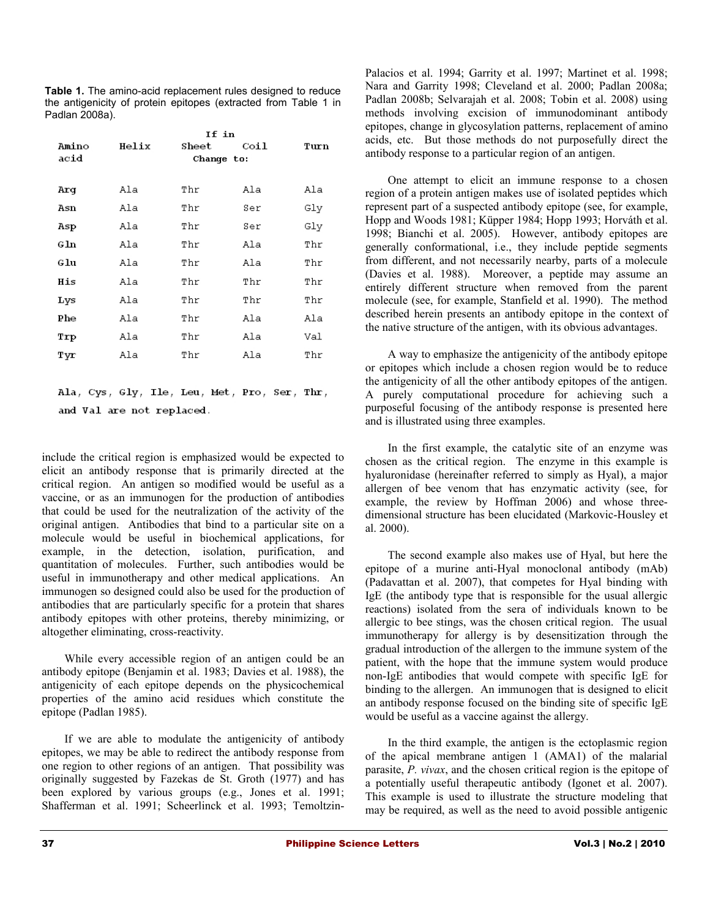**Table 1.** The amino-acid replacement rules designed to reduce the antigenicity of protein epitopes (extracted from Table 1 in Padlan 2008a).

|              | If in |            |      |      |  |  |
|--------------|-------|------------|------|------|--|--|
| Amino        | Helix | Sheet      | Coil | Turn |  |  |
| acid         |       | Change to: |      |      |  |  |
|              |       |            |      |      |  |  |
| Arq          | Ala   | Thr        | Ala  | Ala  |  |  |
| Asn          | Ala   | Thr        | Ser  | Gly  |  |  |
| Asp          | Ala   | Thr        | Ser  | Gly  |  |  |
| $_{\rm GIn}$ | Ala   | Thr        | Ala  | Thr  |  |  |
| Glu          | Ala   | Thr        | Ala  | Thr  |  |  |
| His          | Ala   | Thr        | Thr  | Thr  |  |  |
| Lys          | Ala   | Thr        | Thr  | Thr  |  |  |
| Phe          | Ala   | Thr        | Ala  | Ala  |  |  |
| Trp          | Ala   | Thr        | Ala  | Val  |  |  |
| Tyr          | Ala   | Thr        | Ala  | Thr  |  |  |
|              |       |            |      |      |  |  |
|              |       |            |      |      |  |  |

Ala, Cys, Gly, Ile, Leu, Met, Pro, Ser, Thr, and Val are not replaced.

include the critical region is emphasized would be expected to elicit an antibody response that is primarily directed at the critical region. An antigen so modified would be useful as a vaccine, or as an immunogen for the production of antibodies that could be used for the neutralization of the activity of the original antigen. Antibodies that bind to a particular site on a molecule would be useful in biochemical applications, for example, in the detection, isolation, purification, and quantitation of molecules. Further, such antibodies would be useful in immunotherapy and other medical applications. An immunogen so designed could also be used for the production of antibodies that are particularly specific for a protein that shares antibody epitopes with other proteins, thereby minimizing, or altogether eliminating, cross-reactivity.

While every accessible region of an antigen could be an antibody epitope (Benjamin et al. 1983; Davies et al. 1988), the antigenicity of each epitope depends on the physicochemical properties of the amino acid residues which constitute the epitope (Padlan 1985).

If we are able to modulate the antigenicity of antibody epitopes, we may be able to redirect the antibody response from one region to other regions of an antigen. That possibility was originally suggested by Fazekas de St. Groth (1977) and has been explored by various groups (e.g., Jones et al. 1991; Shafferman et al. 1991; Scheerlinck et al. 1993; TemoltzinPalacios et al. 1994; Garrity et al. 1997; Martinet et al. 1998; Nara and Garrity 1998; Cleveland et al. 2000; Padlan 2008a; Padlan 2008b; Selvarajah et al. 2008; Tobin et al. 2008) using methods involving excision of immunodominant antibody epitopes, change in glycosylation patterns, replacement of amino acids, etc. But those methods do not purposefully direct the antibody response to a particular region of an antigen.

One attempt to elicit an immune response to a chosen region of a protein antigen makes use of isolated peptides which represent part of a suspected antibody epitope (see, for example, Hopp and Woods 1981; Küpper 1984; Hopp 1993; Horváth et al. 1998; Bianchi et al. 2005). However, antibody epitopes are generally conformational, i.e., they include peptide segments from different, and not necessarily nearby, parts of a molecule (Davies et al. 1988). Moreover, a peptide may assume an entirely different structure when removed from the parent molecule (see, for example, Stanfield et al. 1990). The method described herein presents an antibody epitope in the context of the native structure of the antigen, with its obvious advantages.

A way to emphasize the antigenicity of the antibody epitope or epitopes which include a chosen region would be to reduce the antigenicity of all the other antibody epitopes of the antigen. A purely computational procedure for achieving such a purposeful focusing of the antibody response is presented here and is illustrated using three examples.

In the first example, the catalytic site of an enzyme was chosen as the critical region. The enzyme in this example is hyaluronidase (hereinafter referred to simply as Hyal), a major allergen of bee venom that has enzymatic activity (see, for example, the review by Hoffman 2006) and whose threedimensional structure has been elucidated (Markovic-Housley et al. 2000).

The second example also makes use of Hyal, but here the epitope of a murine anti-Hyal monoclonal antibody (mAb) (Padavattan et al. 2007), that competes for Hyal binding with IgE (the antibody type that is responsible for the usual allergic reactions) isolated from the sera of individuals known to be allergic to bee stings, was the chosen critical region. The usual immunotherapy for allergy is by desensitization through the gradual introduction of the allergen to the immune system of the patient, with the hope that the immune system would produce non-IgE antibodies that would compete with specific IgE for binding to the allergen. An immunogen that is designed to elicit an antibody response focused on the binding site of specific IgE would be useful as a vaccine against the allergy.

In the third example, the antigen is the ectoplasmic region of the apical membrane antigen 1 (AMA1) of the malarial parasite, *P. vivax*, and the chosen critical region is the epitope of a potentially useful therapeutic antibody (Igonet et al. 2007). This example is used to illustrate the structure modeling that may be required, as well as the need to avoid possible antigenic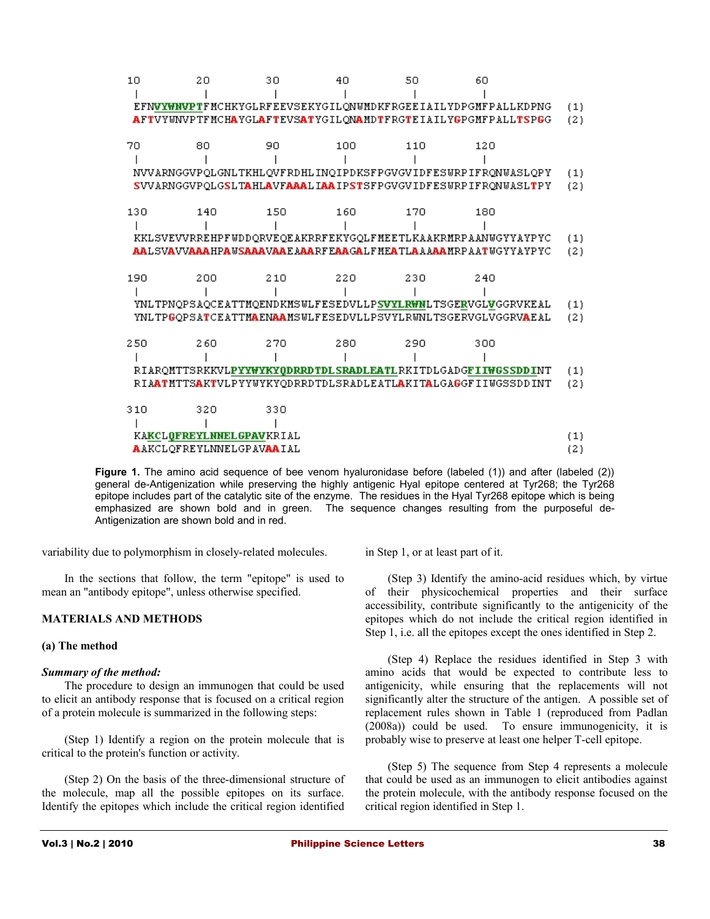| 10                              | 20                              | 30  | 40  | 50  | 60                                                                                      |     |
|---------------------------------|---------------------------------|-----|-----|-----|-----------------------------------------------------------------------------------------|-----|
|                                 |                                 |     |     |     |                                                                                         |     |
|                                 |                                 |     |     |     | EFNVYWNVPTFMCHKYGLRFEEVSEKYGILQNWMDKFRGEEIAILYDPGMFPALLKDPNG                            | (1) |
|                                 |                                 |     |     |     | AFTVYWNVPTFMCHAYGLAFTEVSATYGILONAMDTFRGTEIAILYGPGMFPALLTSPGG                            | (2) |
|                                 |                                 |     |     |     |                                                                                         |     |
| 70                              | 80                              | 90  | 100 | 110 | 120                                                                                     |     |
|                                 |                                 |     |     |     |                                                                                         |     |
|                                 |                                 |     |     |     | NVVARNGGVPOLGNLTKHLOVFRDHLINOIPDKSFPGVGVIDFESWRPIFRONWASLOPY                            | (1) |
|                                 |                                 |     |     |     | SVVARNGGVPOLGSLTAHLAVFAAALIAAIPSTSFPGVGVIDFESWRPIFRONWASLTPY                            | (2) |
|                                 |                                 |     |     |     |                                                                                         |     |
| 130                             | 140                             | 150 | 160 | 170 | 180                                                                                     |     |
|                                 |                                 |     |     |     |                                                                                         |     |
|                                 |                                 |     |     |     | KKLSVEVVRREHPFWDDQRVEQEAKRRFEKYGQLFMEETLKAAKRMRPAANWGYYAYPYC                            | (1) |
|                                 |                                 |     |     |     | AALSVAVVAAAHPAUSAAAVAAEAAARFEAAGALFMEATLAAAAAMRPAATUGYYAYPYC                            | (2) |
|                                 |                                 |     |     |     |                                                                                         |     |
| 190                             | 200                             | 210 | 220 | 230 | 240                                                                                     |     |
|                                 |                                 |     |     |     |                                                                                         |     |
|                                 |                                 |     |     |     | YNLTPNQPSAQCEATTMQENDKMSWLFESEDVLLPSVYLRWNLTSGERVGLVGGRVKEAL                            | (1) |
|                                 |                                 |     |     |     | YNLTPGOPSATCEATTMAENAAMSWLFESEDVLLPSVYLRWNLTSGERVGLVGGRVAEAL                            | (2) |
|                                 |                                 |     |     |     |                                                                                         |     |
| 250                             | 260                             | 270 | 280 | 290 | 300                                                                                     |     |
|                                 |                                 |     |     |     |                                                                                         |     |
|                                 |                                 |     |     |     | RIAROMTTSRKKVLPYYWYKYQDRRDTDLSRADLEATLRKITDLGADGFIIWGSSDDINT                            | (1) |
|                                 |                                 |     |     |     | RIA <b>ATMTTSAKT</b> VLPYYWYKYODRRDTDLSRADLEATL <b>A</b> KIT <b>A</b> LGAGGFIIWGSSDDINT | (2) |
|                                 |                                 |     |     |     |                                                                                         |     |
| 310                             | 320                             | 330 |     |     |                                                                                         |     |
|                                 |                                 |     |     |     |                                                                                         |     |
|                                 | <b>KAKCLOFREYLNNELGPAVKRIAL</b> |     |     |     |                                                                                         | (1) |
| <b>AAKCLOFREYLNNELGPAVAAIAL</b> |                                 |     |     |     | (2)                                                                                     |     |
|                                 |                                 |     |     |     |                                                                                         |     |

Figure 1. The amino acid sequence of bee venom hyaluronidase before (labeled (1)) and after (labeled (2)) general de-Antigenization while preserving the highly antigenic Hyal epitope centered at Tyr268; the Tyr268 epitope includes part of the catalytic site of the enzyme. The residues in the Hyal Tyr268 epitope which is being emphasized are shown bold and in green. The sequence changes resulting from the purposeful de-Antigenization are shown bold and in red.

variability due to polymorphism in closely-related molecules.

In the sections that follow, the term "epitope" is used to mean an "antibody epitope", unless otherwise specified.

# **MATERIALS AND METHODS**

#### **(a) The method**

#### *Summary of the method:*

The procedure to design an immunogen that could be used to elicit an antibody response that is focused on a critical region of a protein molecule is summarized in the following steps:

(Step 1) Identify a region on the protein molecule that is critical to the protein's function or activity.

(Step 2) On the basis of the three-dimensional structure of the molecule, map all the possible epitopes on its surface. Identify the epitopes which include the critical region identified

in Step 1, or at least part of it.

(Step 3) Identify the amino-acid residues which, by virtue of their physicochemical properties and their surface accessibility, contribute significantly to the antigenicity of the epitopes which do not include the critical region identified in Step 1, i.e. all the epitopes except the ones identified in Step 2.

(Step 4) Replace the residues identified in Step 3 with amino acids that would be expected to contribute less to antigenicity, while ensuring that the replacements will not significantly alter the structure of the antigen. A possible set of replacement rules shown in Table 1 (reproduced from Padlan (2008a)) could be used. To ensure immunogenicity, it is probably wise to preserve at least one helper T-cell epitope.

(Step 5) The sequence from Step 4 represents a molecule that could be used as an immunogen to elicit antibodies against the protein molecule, with the antibody response focused on the critical region identified in Step 1.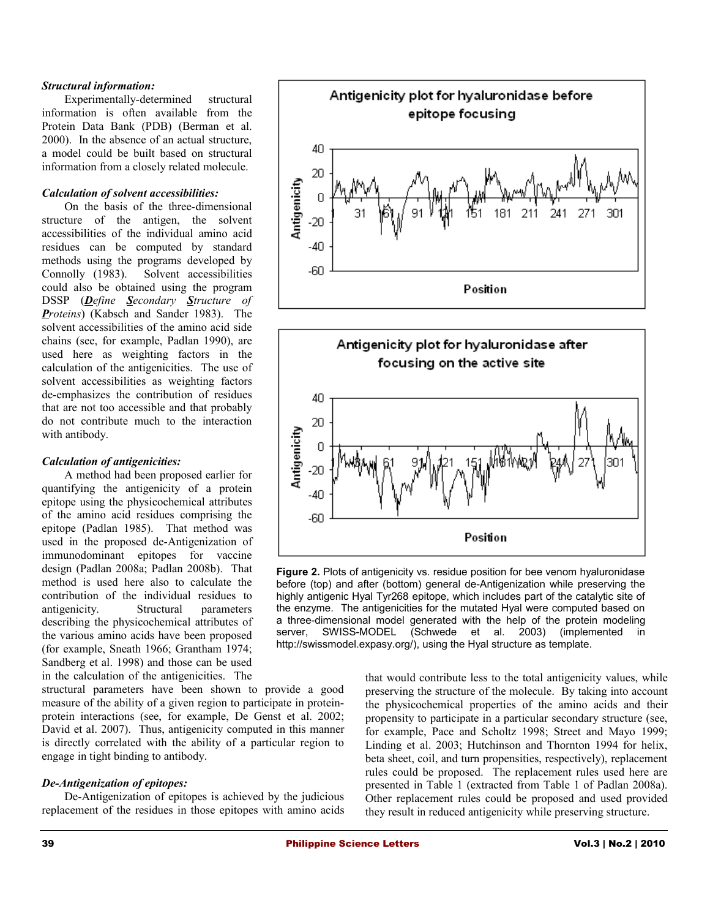#### *Structural information:*

Experimentally-determined structural information is often available from the Protein Data Bank (PDB) (Berman et al. 2000). In the absence of an actual structure, a model could be built based on structural information from a closely related molecule.

# *Calculation of solvent accessibilities:*

On the basis of the three-dimensional structure of the antigen, the solvent accessibilities of the individual amino acid residues can be computed by standard methods using the programs developed by Connolly (1983). Solvent accessibilities could also be obtained using the program DSSP (*Define Secondary Structure of Proteins*) (Kabsch and Sander 1983). The solvent accessibilities of the amino acid side chains (see, for example, Padlan 1990), are used here as weighting factors in the calculation of the antigenicities. The use of solvent accessibilities as weighting factors de-emphasizes the contribution of residues that are not too accessible and that probably do not contribute much to the interaction with antibody.

#### *Calculation of antigenicities:*

A method had been proposed earlier for quantifying the antigenicity of a protein epitope using the physicochemical attributes of the amino acid residues comprising the epitope (Padlan 1985). That method was used in the proposed de-Antigenization of immunodominant epitopes for vaccine design (Padlan 2008a; Padlan 2008b). That method is used here also to calculate the contribution of the individual residues to antigenicity. Structural parameters describing the physicochemical attributes of the various amino acids have been proposed (for example, Sneath 1966; Grantham 1974; Sandberg et al. 1998) and those can be used in the calculation of the antigenicities. The

structural parameters have been shown to provide a good measure of the ability of a given region to participate in proteinprotein interactions (see, for example, De Genst et al. 2002; David et al. 2007). Thus, antigenicity computed in this manner is directly correlated with the ability of a particular region to engage in tight binding to antibody.

#### *De-Antigenization of epitopes:*

De-Antigenization of epitopes is achieved by the judicious replacement of the residues in those epitopes with amino acids





**Figure 2.** Plots of antigenicity vs. residue position for bee venom hyaluronidase before (top) and after (bottom) general de-Antigenization while preserving the highly antigenic Hyal Tyr268 epitope, which includes part of the catalytic site of the enzyme. The antigenicities for the mutated Hyal were computed based on a three-dimensional model generated with the help of the protein modeling server. SWISS-MODEL (Schwede et al. 2003) (implemented in SWISS-MODEL (Schwede et al. 2003) (implemented in http://swissmodel.expasy.org/), using the Hyal structure as template.

that would contribute less to the total antigenicity values, while preserving the structure of the molecule. By taking into account the physicochemical properties of the amino acids and their propensity to participate in a particular secondary structure (see, for example, Pace and Scholtz 1998; Street and Mayo 1999; Linding et al. 2003; Hutchinson and Thornton 1994 for helix, beta sheet, coil, and turn propensities, respectively), replacement rules could be proposed. The replacement rules used here are presented in Table 1 (extracted from Table 1 of Padlan 2008a). Other replacement rules could be proposed and used provided they result in reduced antigenicity while preserving structure.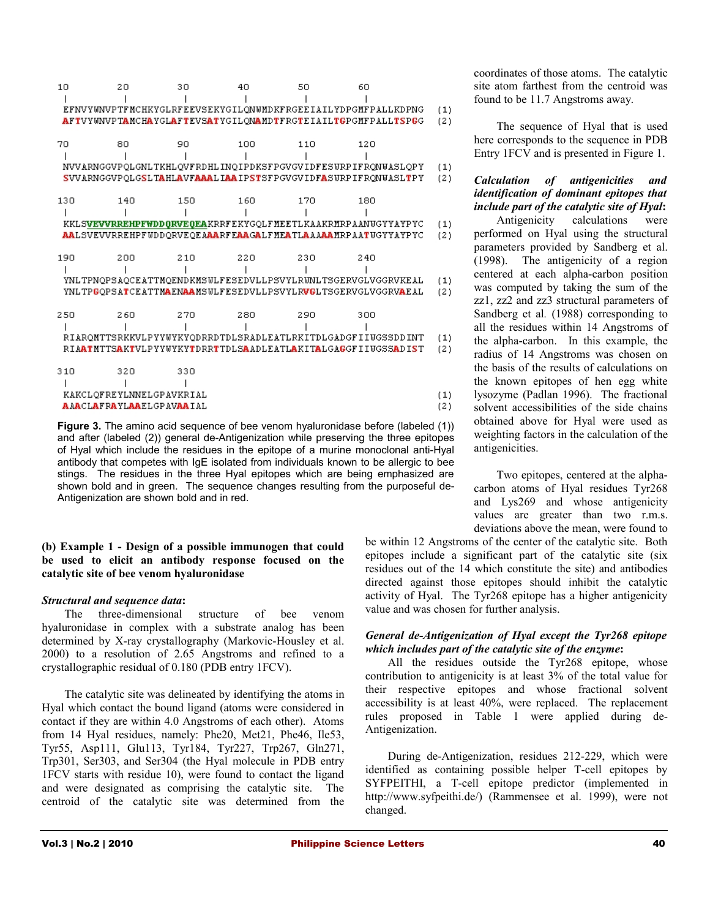| 10  | 20                              | 30  | 40  | 50  | 60                                                           |     |
|-----|---------------------------------|-----|-----|-----|--------------------------------------------------------------|-----|
|     |                                 |     |     |     |                                                              |     |
|     |                                 |     |     |     | EFNVYWNVPTFMCHKYGLRFEEVSEKYGILONWMDKFRGEEIAILYDPGMFPALLKDPNG | (1) |
|     |                                 |     |     |     | AFTVYWNVPTAMCHAYGLAFTEVSATYGILONAMDTFRGTEIAILTGPGMFPALLTSPGG | (2) |
|     |                                 |     |     |     |                                                              |     |
| 70  | 80                              | 90  | 100 | 110 | 120                                                          |     |
|     |                                 |     |     |     |                                                              |     |
|     |                                 |     |     |     | NVVARNGGVPQLGNLTKHLQVFRDHLINQIPDKSFPGVGVIDFESWRPIFRQNWASLQPY | (1) |
|     |                                 |     |     |     | SVVARNGGVPOLGSLTAHLAVFAAALIAAIPSTSFPGVGVIDFASWRPIFRONWASLTPY | (2) |
|     |                                 |     |     |     |                                                              |     |
| 130 | 140                             | 150 | 160 | 170 | 180                                                          |     |
|     |                                 |     |     |     |                                                              |     |
|     |                                 |     |     |     | KKLSVEVVRREHPFWDDQRVEQEAKRRFEKYGQLFMEETLKAAKRMRPAANWGYYAYPYC | (1) |
|     |                                 |     |     |     | AALSVEVVRREHPFWDDQRVEQEAAARFEAAGALFMEATLAAAAAMRPAATWGYYAYPYC | (2) |
|     |                                 |     |     |     |                                                              |     |
| 190 | 200                             | 210 | 220 | 230 | 240                                                          |     |
|     |                                 |     |     |     |                                                              |     |
|     |                                 |     |     |     | YNLTPNOPSAOCEATTMOENDKMSWLFESEDVLLPSVYLRWNLTSGERVGLVGGRVKEAL | (1) |
|     |                                 |     |     |     | YNLTPGOPSATCEATTMAENAAMSWLFESEDVLLPSVYLRVGLTSGERVGLVGGRVAEAL | (2) |
|     |                                 |     |     |     |                                                              |     |
| 250 | 260                             | 270 | 280 | 290 | 300                                                          |     |
|     |                                 |     |     |     |                                                              |     |
|     |                                 |     |     |     | RIARQMTTSRKKVLPYYWYKYQDRRDTDLSRADLEATLRKITDLGADGFIIWGSSDDINT | (1) |
|     |                                 |     |     |     | RIAATMTTSAKTVLPYYWYKYTDRRTTDLSAADLEATLAKITALGAGGFIIWGSSADIST | (2) |
|     |                                 |     |     |     |                                                              |     |
| 310 | 320                             | 330 |     |     |                                                              |     |
|     |                                 |     |     |     |                                                              |     |
|     | KAKCLQFREYLNNELGPAVKRIAL        |     |     |     |                                                              | (1) |
|     | <b>AAACLAFRAYLAAELGPAVAAIAL</b> |     |     |     |                                                              | (2) |
|     |                                 |     |     |     |                                                              |     |

**Figure 3.** The amino acid sequence of bee venom hyaluronidase before (labeled (1)) and after (labeled (2)) general de-Antigenization while preserving the three epitopes of Hyal which include the residues in the epitope of a murine monoclonal anti-Hyal antibody that competes with IgE isolated from individuals known to be allergic to bee stings. The residues in the three Hyal epitopes which are being emphasized are shown bold and in green. The sequence changes resulting from the purposeful de-Antigenization are shown bold and in red.

**(b) Example 1 - Design of a possible immunogen that could be used to elicit an antibody response focused on the catalytic site of bee venom hyaluronidase** 

#### *Structural and sequence data***:**

The three-dimensional structure of bee venom hyaluronidase in complex with a substrate analog has been determined by X-ray crystallography (Markovic-Housley et al. 2000) to a resolution of 2.65 Angstroms and refined to a crystallographic residual of 0.180 (PDB entry 1FCV).

The catalytic site was delineated by identifying the atoms in Hyal which contact the bound ligand (atoms were considered in contact if they are within 4.0 Angstroms of each other). Atoms from 14 Hyal residues, namely: Phe20, Met21, Phe46, Ile53, Tyr55, Asp111, Glu113, Tyr184, Tyr227, Trp267, Gln271, Trp301, Ser303, and Ser304 (the Hyal molecule in PDB entry 1FCV starts with residue 10), were found to contact the ligand and were designated as comprising the catalytic site. The centroid of the catalytic site was determined from the

coordinates of those atoms. The catalytic site atom farthest from the centroid was found to be 11.7 Angstroms away.

The sequence of Hyal that is used here corresponds to the sequence in PDB Entry 1FCV and is presented in Figure 1.

# *Calculation of antigenicities and identification of dominant epitopes that include part of the catalytic site of Hyal***:**

Antigenicity calculations were performed on Hyal using the structural parameters provided by Sandberg et al. (1998). The antigenicity of a region centered at each alpha-carbon position was computed by taking the sum of the zz1, zz2 and zz3 structural parameters of Sandberg et al*.* (1988) corresponding to all the residues within 14 Angstroms of the alpha-carbon. In this example, the radius of 14 Angstroms was chosen on the basis of the results of calculations on the known epitopes of hen egg white lysozyme (Padlan 1996). The fractional solvent accessibilities of the side chains obtained above for Hyal were used as weighting factors in the calculation of the antigenicities.

Two epitopes, centered at the alphacarbon atoms of Hyal residues Tyr268 and Lys269 and whose antigenicity values are greater than two r.m.s. deviations above the mean, were found to

be within 12 Angstroms of the center of the catalytic site. Both epitopes include a significant part of the catalytic site (six residues out of the 14 which constitute the site) and antibodies directed against those epitopes should inhibit the catalytic activity of Hyal. The Tyr268 epitope has a higher antigenicity value and was chosen for further analysis.

# *General de-Antigenization of Hyal except the Tyr268 epitope which includes part of the catalytic site of the enzyme***:**

All the residues outside the Tyr268 epitope, whose contribution to antigenicity is at least 3% of the total value for their respective epitopes and whose fractional solvent accessibility is at least 40%, were replaced. The replacement rules proposed in Table 1 were applied during de-Antigenization.

During de-Antigenization, residues 212-229, which were identified as containing possible helper T-cell epitopes by SYFPEITHI, a T-cell epitope predictor (implemented in http://www.syfpeithi.de/) (Rammensee et al. 1999), were not changed.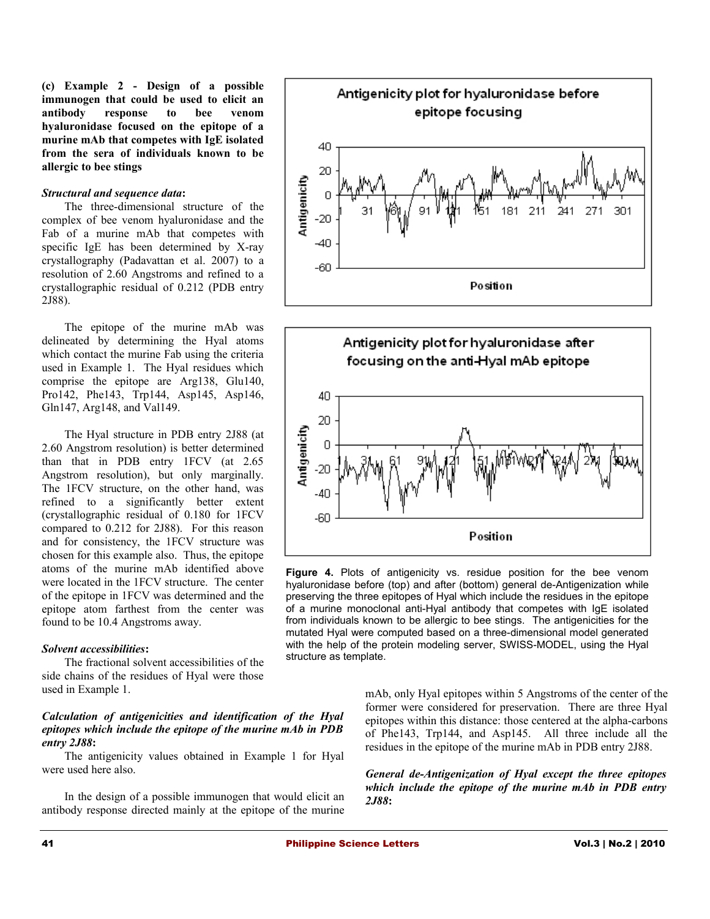**(c) Example 2 - Design of a possible immunogen that could be used to elicit an antibody response to bee venom hyaluronidase focused on the epitope of a murine mAb that competes with IgE isolated from the sera of individuals known to be allergic to bee stings** 

#### *Structural and sequence data***:**

The three-dimensional structure of the complex of bee venom hyaluronidase and the Fab of a murine mAb that competes with specific IgE has been determined by X-ray crystallography (Padavattan et al. 2007) to a resolution of 2.60 Angstroms and refined to a crystallographic residual of 0.212 (PDB entry 2J88).

The epitope of the murine mAb was delineated by determining the Hyal atoms which contact the murine Fab using the criteria used in Example 1. The Hyal residues which comprise the epitope are Arg138, Glu140, Pro142, Phe143, Trp144, Asp145, Asp146, Gln147, Arg148, and Val149.

The Hyal structure in PDB entry 2J88 (at 2.60 Angstrom resolution) is better determined than that in PDB entry 1FCV (at 2.65 Angstrom resolution), but only marginally. The 1FCV structure, on the other hand, was refined to a significantly better extent (crystallographic residual of 0.180 for 1FCV compared to 0.212 for 2J88). For this reason and for consistency, the 1FCV structure was chosen for this example also. Thus, the epitope atoms of the murine mAb identified above were located in the 1FCV structure. The center of the epitope in 1FCV was determined and the epitope atom farthest from the center was found to be 10.4 Angstroms away.

#### *Solvent accessibilities***:**

The fractional solvent accessibilities of the side chains of the residues of Hyal were those used in Example 1.

# *Calculation of antigenicities and identification of the Hyal epitopes which include the epitope of the murine mAb in PDB entry 2J88***:**

The antigenicity values obtained in Example 1 for Hyal were used here also.

In the design of a possible immunogen that would elicit an antibody response directed mainly at the epitope of the murine





**Figure 4.** Plots of antigenicity vs. residue position for the bee venom hyaluronidase before (top) and after (bottom) general de-Antigenization while preserving the three epitopes of Hyal which include the residues in the epitope of a murine monoclonal anti-Hyal antibody that competes with IgE isolated from individuals known to be allergic to bee stings. The antigenicities for the mutated Hyal were computed based on a three-dimensional model generated with the help of the protein modeling server, SWISS-MODEL, using the Hyal structure as template.

mAb, only Hyal epitopes within 5 Angstroms of the center of the former were considered for preservation. There are three Hyal epitopes within this distance: those centered at the alpha-carbons of Phe143, Trp144, and Asp145. All three include all the residues in the epitope of the murine mAb in PDB entry 2J88.

*General de-Antigenization of Hyal except the three epitopes which include the epitope of the murine mAb in PDB entry 2J88***:**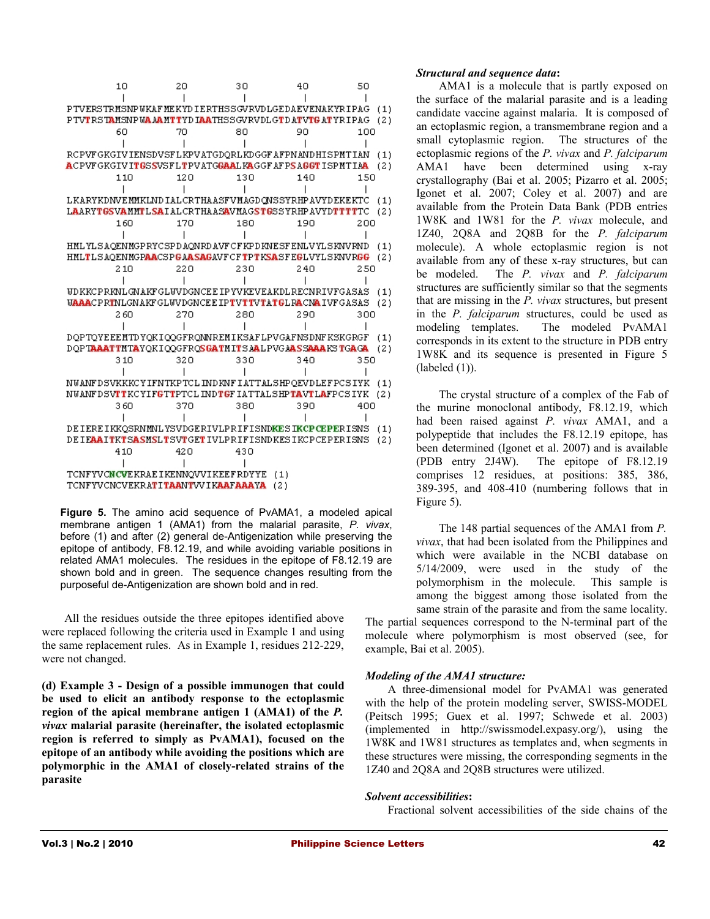| PTVERSTRMSNPWKAFMEKYDIERTHSSGVRVDLGEDAEVENAKYRIPAG<br>(1)<br>PTVTRSTAMSNPWAAAMTTYDIAATHSSGVRVDLGTDATVTGATYRIPAG<br>(2) |  |
|------------------------------------------------------------------------------------------------------------------------|--|
|                                                                                                                        |  |
|                                                                                                                        |  |
|                                                                                                                        |  |
| 80<br>60<br>70<br>90<br>100                                                                                            |  |
|                                                                                                                        |  |
| RCPVFGKGIVIENSDVSFLKPVATGDORLKDGGFAFPNANDHISPMTIAN<br>(1)                                                              |  |
| ACPVFGKGIVITGSSVSFLTPVATGGAALKAGGFAFPSAGGTISPMTIAA<br>(2)                                                              |  |
| 110<br>120<br>130<br>150<br>140                                                                                        |  |
|                                                                                                                        |  |
| LKARYKDNVEMMKLNDIALCRTHAASFVMAGDQNSSYRHPAVYDEKEKTC<br>(1)                                                              |  |
| LAARYTGSVAMMTLSAIALCRTHAASAVMAGSTGSSYRHPAVYDTTTTTC<br>(2)                                                              |  |
| 1.60<br>170<br>180<br>190<br>200                                                                                       |  |
|                                                                                                                        |  |
| HMLYLSAOENMGPRYCSPDAONRDAVFCFKPDKNESFENLVYLSKNVRND<br>(1)                                                              |  |
| HMLTLSAOENMGPAACSPGAASAGAVFCFTPTKSASFEGLVYLSKNVRGG<br>(2)                                                              |  |
| 220<br>230<br>210<br>240<br>250                                                                                        |  |
|                                                                                                                        |  |
| WDKKCPRKNLGNAKFGLWVDGNCEEIPYVKEVEAKDLRECNRIVFGASAS<br>(1)                                                              |  |
| <b>WAAACPRTNLGNAKFGLWVDGNCEEIPTVTTVTATGLRACNAIVFGASAS</b><br>(2)                                                       |  |
| 270<br>280<br>2.60<br>290<br>300                                                                                       |  |
|                                                                                                                        |  |
| DOPTOYEEEMTDYOKIOOGFRONNREMIKSAFLPVGAFNSDNFKSKGRGF<br>(1)                                                              |  |
| DOPTAAATTMTAYOKIOOGFROSGATMITSAALPVGAASSAAAKSTGAGA<br>(2)                                                              |  |
| 32 O<br>330<br>340<br>350<br>310                                                                                       |  |
|                                                                                                                        |  |
| NWANFDSVKKKCYIFNTKPTCLINDKNFIATTALSHPQEVDLEFPCSIYK<br>(1)                                                              |  |
| NWANFDSVTTKCYIFGTTPTCLINDTGFIATTALSHPTAVTLAFPCSIYK<br>721                                                              |  |
| 360<br>370<br>380<br>390<br>400                                                                                        |  |
|                                                                                                                        |  |
| DE IERE IKKOSRNMNLYSVDGERIVLPRIFISND <mark>KES IKCP (EPE</mark> RISNS<br>(1)                                           |  |
| DEIEAAITKTSASMSLTSVTGETIVLPRIFISNDKESIKCPCEPERISNS<br>(2)                                                              |  |
| 410<br>42 O<br>430                                                                                                     |  |
|                                                                                                                        |  |
| TCNFYVCNCVEKRAEIKENNQVVIKEEFRDYYE<br>(1)                                                                               |  |
| TCNFYVCNCVEKRA <b>TI TAA</b> NTVVIK <b>AAFAAAYA</b><br>721                                                             |  |

**Figure 5.** The amino acid sequence of PvAMA1, a modeled apical membrane antigen 1 (AMA1) from the malarial parasite, *P. vivax*, before (1) and after (2) general de-Antigenization while preserving the epitope of antibody, F8.12.19, and while avoiding variable positions in related AMA1 molecules. The residues in the epitope of F8.12.19 are shown bold and in green. The sequence changes resulting from the purposeful de-Antigenization are shown bold and in red.

All the residues outside the three epitopes identified above were replaced following the criteria used in Example 1 and using the same replacement rules. As in Example 1, residues 212-229, were not changed.

**(d) Example 3 - Design of a possible immunogen that could be used to elicit an antibody response to the ectoplasmic region of the apical membrane antigen 1 (AMA1) of the** *P. vivax* **malarial parasite (hereinafter, the isolated ectoplasmic region is referred to simply as PvAMA1), focused on the epitope of an antibody while avoiding the positions which are polymorphic in the AMA1 of closely-related strains of the parasite** 

# *Structural and sequence data***:**

AMA1 is a molecule that is partly exposed on the surface of the malarial parasite and is a leading candidate vaccine against malaria. It is composed of an ectoplasmic region, a transmembrane region and a small cytoplasmic region. The structures of the ectoplasmic regions of the *P. vivax* and *P. falciparum* AMA1 have been determined using x-ray crystallography (Bai et al. 2005; Pizarro et al. 2005; Igonet et al. 2007; Coley et al. 2007) and are available from the Protein Data Bank (PDB entries 1W8K and 1W81 for the *P. vivax* molecule, and 1Z40, 2Q8A and 2Q8B for the *P. falciparum* molecule). A whole ectoplasmic region is not available from any of these x-ray structures, but can be modeled. The *P. vivax* and *P. falciparum* structures are sufficiently similar so that the segments that are missing in the *P. vivax* structures, but present in the *P. falciparum* structures, could be used as modeling templates. The modeled PvAMA1 corresponds in its extent to the structure in PDB entry 1W8K and its sequence is presented in Figure 5  $(labeled (1))$ .

The crystal structure of a complex of the Fab of the murine monoclonal antibody, F8.12.19, which had been raised against *P. vivax* AMA1, and a polypeptide that includes the F8.12.19 epitope, has been determined (Igonet et al. 2007) and is available (PDB entry 2J4W). The epitope of F8.12.19 comprises 12 residues, at positions: 385, 386, 389-395, and 408-410 (numbering follows that in Figure 5).

The 148 partial sequences of the AMA1 from *P. vivax*, that had been isolated from the Philippines and which were available in the NCBI database on 5/14/2009, were used in the study of the polymorphism in the molecule. This sample is among the biggest among those isolated from the same strain of the parasite and from the same locality. The partial sequences correspond to the N-terminal part of the molecule where polymorphism is most observed (see, for example, Bai et al. 2005).

# *Modeling of the AMA1 structure:*

A three-dimensional model for PvAMA1 was generated with the help of the protein modeling server, SWISS-MODEL (Peitsch 1995; Guex et al. 1997; Schwede et al. 2003) (implemented in http://swissmodel.expasy.org/), using the 1W8K and 1W81 structures as templates and, when segments in these structures were missing, the corresponding segments in the 1Z40 and 2Q8A and 2Q8B structures were utilized.

#### *Solvent accessibilities***:**

Fractional solvent accessibilities of the side chains of the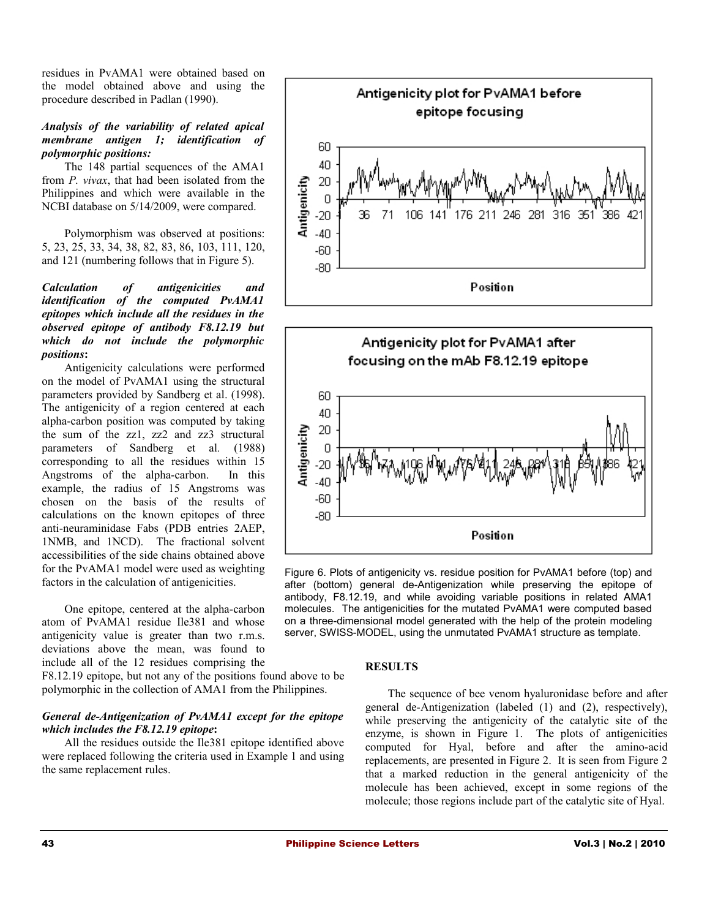residues in PvAMA1 were obtained based on the model obtained above and using the procedure described in Padlan (1990).

# *Analysis of the variability of related apical membrane antigen 1; identification of polymorphic positions:*

The 148 partial sequences of the AMA1 from *P. vivax*, that had been isolated from the Philippines and which were available in the NCBI database on 5/14/2009, were compared.

Polymorphism was observed at positions: 5, 23, 25, 33, 34, 38, 82, 83, 86, 103, 111, 120, and 121 (numbering follows that in Figure 5).

# *Calculation of antigenicities and identification of the computed PvAMA1 epitopes which include all the residues in the observed epitope of antibody F8.12.19 but which do not include the polymorphic positions***:**

Antigenicity calculations were performed on the model of PvAMA1 using the structural parameters provided by Sandberg et al. (1998). The antigenicity of a region centered at each alpha-carbon position was computed by taking the sum of the zz1, zz2 and zz3 structural parameters of Sandberg et al*.* (1988) corresponding to all the residues within 15 Angstroms of the alpha-carbon. In this example, the radius of 15 Angstroms was chosen on the basis of the results of calculations on the known epitopes of three anti-neuraminidase Fabs (PDB entries 2AEP, 1NMB, and 1NCD). The fractional solvent accessibilities of the side chains obtained above for the PvAMA1 model were used as weighting factors in the calculation of antigenicities.

One epitope, centered at the alpha-carbon atom of PvAMA1 residue Ile381 and whose antigenicity value is greater than two r.m.s. deviations above the mean, was found to include all of the 12 residues comprising the

F8.12.19 epitope, but not any of the positions found above to be polymorphic in the collection of AMA1 from the Philippines.

# *General de-Antigenization of PvAMA1 except for the epitope which includes the F8.12.19 epitope***:**

All the residues outside the Ile381 epitope identified above were replaced following the criteria used in Example 1 and using the same replacement rules.





Figure 6. Plots of antigenicity vs. residue position for PvAMA1 before (top) and after (bottom) general de-Antigenization while preserving the epitope of antibody, F8.12.19, and while avoiding variable positions in related AMA1 molecules. The antigenicities for the mutated PvAMA1 were computed based on a three-dimensional model generated with the help of the protein modeling server, SWISS-MODEL, using the unmutated PvAMA1 structure as template.

# **RESULTS**

The sequence of bee venom hyaluronidase before and after general de-Antigenization (labeled (1) and (2), respectively), while preserving the antigenicity of the catalytic site of the enzyme, is shown in Figure 1. The plots of antigenicities computed for Hyal, before and after the amino-acid replacements, are presented in Figure 2. It is seen from Figure 2 that a marked reduction in the general antigenicity of the molecule has been achieved, except in some regions of the molecule; those regions include part of the catalytic site of Hyal.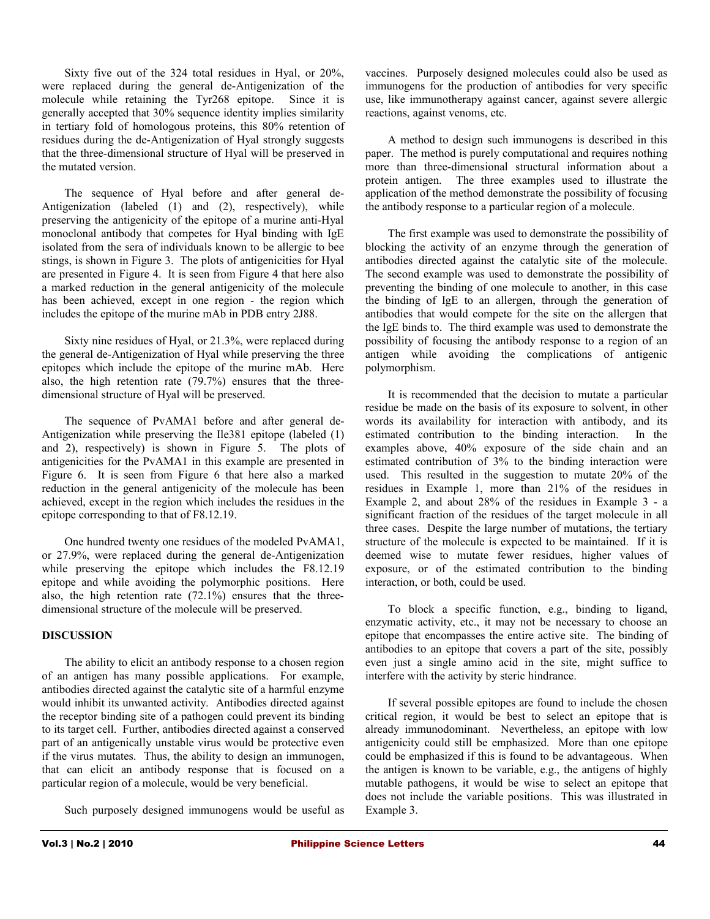Sixty five out of the 324 total residues in Hyal, or 20%, were replaced during the general de-Antigenization of the molecule while retaining the Tyr268 epitope. Since it is generally accepted that 30% sequence identity implies similarity in tertiary fold of homologous proteins, this 80% retention of residues during the de-Antigenization of Hyal strongly suggests that the three-dimensional structure of Hyal will be preserved in the mutated version.

The sequence of Hyal before and after general de-Antigenization (labeled (1) and (2), respectively), while preserving the antigenicity of the epitope of a murine anti-Hyal monoclonal antibody that competes for Hyal binding with IgE isolated from the sera of individuals known to be allergic to bee stings, is shown in Figure 3. The plots of antigenicities for Hyal are presented in Figure 4. It is seen from Figure 4 that here also a marked reduction in the general antigenicity of the molecule has been achieved, except in one region - the region which includes the epitope of the murine mAb in PDB entry 2J88.

Sixty nine residues of Hyal, or 21.3%, were replaced during the general de-Antigenization of Hyal while preserving the three epitopes which include the epitope of the murine mAb. Here also, the high retention rate (79.7%) ensures that the threedimensional structure of Hyal will be preserved.

The sequence of PvAMA1 before and after general de-Antigenization while preserving the Ile381 epitope (labeled (1) and 2), respectively) is shown in Figure 5. The plots of antigenicities for the PvAMA1 in this example are presented in Figure 6. It is seen from Figure 6 that here also a marked reduction in the general antigenicity of the molecule has been achieved, except in the region which includes the residues in the epitope corresponding to that of F8.12.19.

One hundred twenty one residues of the modeled PvAMA1, or 27.9%, were replaced during the general de-Antigenization while preserving the epitope which includes the F8.12.19 epitope and while avoiding the polymorphic positions. Here also, the high retention rate (72.1%) ensures that the threedimensional structure of the molecule will be preserved.

# **DISCUSSION**

The ability to elicit an antibody response to a chosen region of an antigen has many possible applications. For example, antibodies directed against the catalytic site of a harmful enzyme would inhibit its unwanted activity. Antibodies directed against the receptor binding site of a pathogen could prevent its binding to its target cell. Further, antibodies directed against a conserved part of an antigenically unstable virus would be protective even if the virus mutates. Thus, the ability to design an immunogen, that can elicit an antibody response that is focused on a particular region of a molecule, would be very beneficial.

Such purposely designed immunogens would be useful as

vaccines. Purposely designed molecules could also be used as immunogens for the production of antibodies for very specific use, like immunotherapy against cancer, against severe allergic reactions, against venoms, etc.

A method to design such immunogens is described in this paper. The method is purely computational and requires nothing more than three-dimensional structural information about a protein antigen. The three examples used to illustrate the application of the method demonstrate the possibility of focusing the antibody response to a particular region of a molecule.

The first example was used to demonstrate the possibility of blocking the activity of an enzyme through the generation of antibodies directed against the catalytic site of the molecule. The second example was used to demonstrate the possibility of preventing the binding of one molecule to another, in this case the binding of IgE to an allergen, through the generation of antibodies that would compete for the site on the allergen that the IgE binds to. The third example was used to demonstrate the possibility of focusing the antibody response to a region of an antigen while avoiding the complications of antigenic polymorphism.

It is recommended that the decision to mutate a particular residue be made on the basis of its exposure to solvent, in other words its availability for interaction with antibody, and its estimated contribution to the binding interaction. In the examples above, 40% exposure of the side chain and an estimated contribution of 3% to the binding interaction were used. This resulted in the suggestion to mutate 20% of the residues in Example 1, more than 21% of the residues in Example 2, and about 28% of the residues in Example 3 - a significant fraction of the residues of the target molecule in all three cases. Despite the large number of mutations, the tertiary structure of the molecule is expected to be maintained. If it is deemed wise to mutate fewer residues, higher values of exposure, or of the estimated contribution to the binding interaction, or both, could be used.

To block a specific function, e.g., binding to ligand, enzymatic activity, etc., it may not be necessary to choose an epitope that encompasses the entire active site. The binding of antibodies to an epitope that covers a part of the site, possibly even just a single amino acid in the site, might suffice to interfere with the activity by steric hindrance.

If several possible epitopes are found to include the chosen critical region, it would be best to select an epitope that is already immunodominant. Nevertheless, an epitope with low antigenicity could still be emphasized. More than one epitope could be emphasized if this is found to be advantageous. When the antigen is known to be variable, e.g., the antigens of highly mutable pathogens, it would be wise to select an epitope that does not include the variable positions. This was illustrated in Example 3.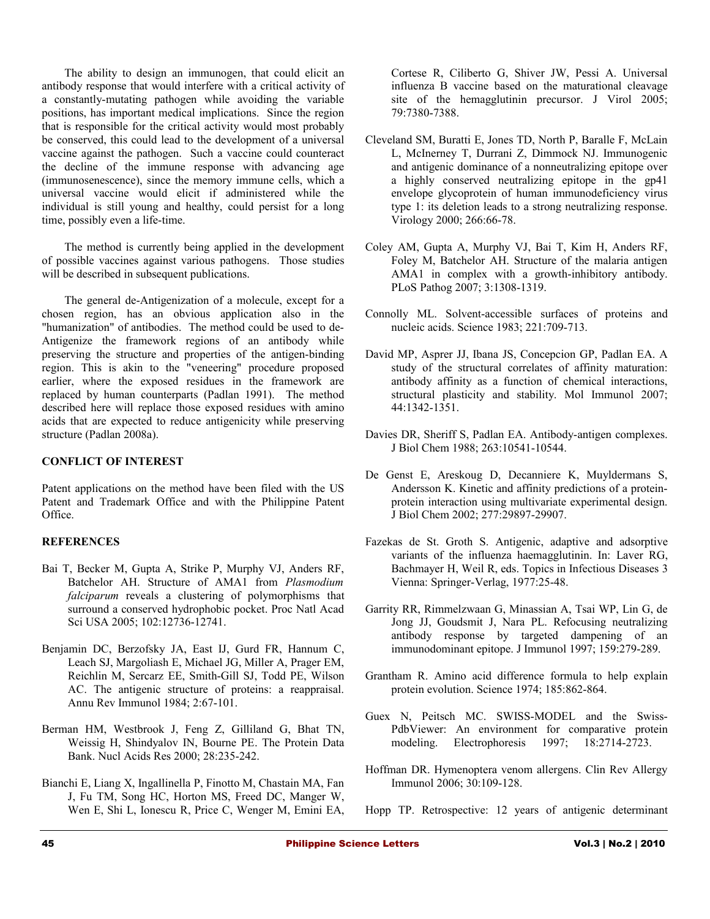The ability to design an immunogen, that could elicit an antibody response that would interfere with a critical activity of a constantly-mutating pathogen while avoiding the variable positions, has important medical implications. Since the region that is responsible for the critical activity would most probably be conserved, this could lead to the development of a universal vaccine against the pathogen. Such a vaccine could counteract the decline of the immune response with advancing age (immunosenescence), since the memory immune cells, which a universal vaccine would elicit if administered while the individual is still young and healthy, could persist for a long time, possibly even a life-time.

The method is currently being applied in the development of possible vaccines against various pathogens. Those studies will be described in subsequent publications.

The general de-Antigenization of a molecule, except for a chosen region, has an obvious application also in the "humanization" of antibodies. The method could be used to de-Antigenize the framework regions of an antibody while preserving the structure and properties of the antigen-binding region. This is akin to the "veneering" procedure proposed earlier, where the exposed residues in the framework are replaced by human counterparts (Padlan 1991). The method described here will replace those exposed residues with amino acids that are expected to reduce antigenicity while preserving structure (Padlan 2008a).

# **CONFLICT OF INTEREST**

Patent applications on the method have been filed with the US Patent and Trademark Office and with the Philippine Patent Office.

# **REFERENCES**

- Bai T, Becker M, Gupta A, Strike P, Murphy VJ, Anders RF, Batchelor AH. Structure of AMA1 from *Plasmodium falciparum* reveals a clustering of polymorphisms that surround a conserved hydrophobic pocket. Proc Natl Acad Sci USA 2005; 102:12736-12741.
- Benjamin DC, Berzofsky JA, East IJ, Gurd FR, Hannum C, Leach SJ, Margoliash E, Michael JG, Miller A, Prager EM, Reichlin M, Sercarz EE, Smith-Gill SJ, Todd PE, Wilson AC. The antigenic structure of proteins: a reappraisal. Annu Rev Immunol 1984; 2:67-101.
- Berman HM, Westbrook J, Feng Z, Gilliland G, Bhat TN, Weissig H, Shindyalov IN, Bourne PE. [The Protein Data](http://nar.oxfordjournals.org/cgi/content/abstract/28/1/235) [Bank.](http://nar.oxfordjournals.org/cgi/content/abstract/28/1/235) Nucl Acids Res 2000; 28:235-242.
- Bianchi E, Liang X, Ingallinella P, Finotto M, Chastain MA, Fan J, Fu TM, Song HC, Horton MS, Freed DC, Manger W, Wen E, Shi L, Ionescu R, Price C, Wenger M, Emini EA,

Cortese R, Ciliberto G, Shiver JW, Pessi A. Universal influenza B vaccine based on the maturational cleavage site of the hemagglutinin precursor. J Virol 2005; 79:7380-7388.

- Cleveland SM, Buratti E, Jones TD, North P, Baralle F, McLain L, McInerney T, Durrani Z, Dimmock NJ. Immunogenic and antigenic dominance of a nonneutralizing epitope over a highly conserved neutralizing epitope in the gp41 envelope glycoprotein of human immunodeficiency virus type 1: its deletion leads to a strong neutralizing response. Virology 2000; 266:66-78.
- Coley AM, Gupta A, Murphy VJ, Bai T, Kim H, Anders RF, Foley M, Batchelor AH. Structure of the malaria antigen AMA1 in complex with a growth-inhibitory antibody. PLoS Pathog 2007; 3:1308-1319.
- Connolly ML. Solvent-accessible surfaces of proteins and nucleic acids. Science 1983; 221:709-713.
- David MP, Asprer JJ, Ibana JS, Concepcion GP, Padlan EA. A study of the structural correlates of affinity maturation: antibody affinity as a function of chemical interactions, structural plasticity and stability. Mol Immunol 2007; 44:1342-1351.
- Davies DR, Sheriff S, Padlan EA. Antibody-antigen complexes. J Biol Chem 1988; 263:10541-10544.
- De Genst E, Areskoug D, Decanniere K, Muyldermans S, Andersson K. Kinetic and affinity predictions of a proteinprotein interaction using multivariate experimental design. J Biol Chem 2002; 277:29897-29907.
- Fazekas de St. Groth S. Antigenic, adaptive and adsorptive variants of the influenza haemagglutinin. In: Laver RG, Bachmayer H, Weil R, eds. Topics in Infectious Diseases 3 Vienna: Springer-Verlag, 1977:25-48.
- Garrity RR, Rimmelzwaan G, Minassian A, Tsai WP, Lin G, de Jong JJ, Goudsmit J, Nara PL. Refocusing neutralizing antibody response by targeted dampening of an immunodominant epitope. J Immunol 1997; 159:279-289.
- Grantham R. Amino acid difference formula to help explain protein evolution. Science 1974; 185:862-864.
- Guex N, Peitsch MC. SWISS-MODEL and the Swiss-PdbViewer: An environment for comparative protein modeling. Electrophoresis 1997; 18:2714-2723.
- Hoffman DR. Hymenoptera venom allergens. Clin Rev Allergy Immunol 2006; 30:109-128.
- Hopp TP. Retrospective: 12 years of antigenic determinant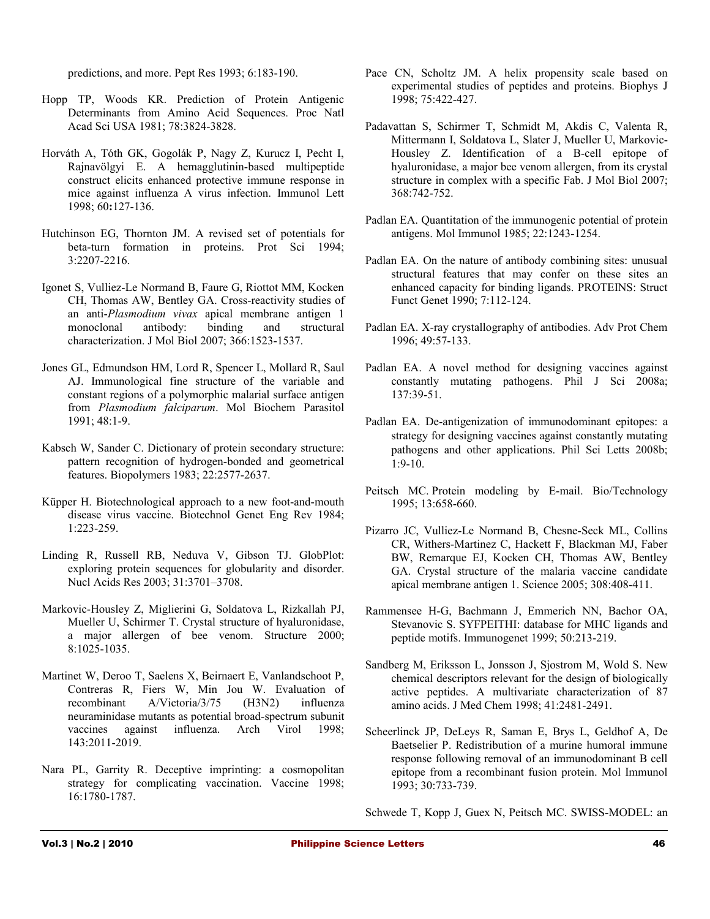predictions, and more. Pept Res 1993; 6:183-190.

- Hopp TP, Woods KR. Prediction of Protein Antigenic Determinants from Amino Acid Sequences. Proc Natl Acad Sci USA 1981; 78:3824-3828.
- Horváth A, Tóth GK, Gogolák P, Nagy Z, Kurucz I, Pecht I, Rajnavölgyi E. A hemagglutinin-based multipeptide construct elicits enhanced protective immune response in mice against influenza A virus infection. Immunol Lett 1998; 60**:**127-136.
- Hutchinson EG, Thornton JM. A revised set of potentials for beta-turn formation in proteins. Prot Sci 1994; 3:2207-2216.
- Igonet S, Vulliez-Le Normand B, Faure G, Riottot MM, Kocken CH, Thomas AW, Bentley GA. Cross-reactivity studies of an anti-*Plasmodium vivax* apical membrane antigen 1 monoclonal antibody: binding and structural characterization. J Mol Biol 2007; 366:1523-1537.
- Jones GL, Edmundson HM, Lord R, Spencer L, Mollard R, Saul AJ. Immunological fine structure of the variable and constant regions of a polymorphic malarial surface antigen from *Plasmodium falciparum*. Mol Biochem Parasitol 1991; 48:1-9.
- Kabsch W, Sander C. Dictionary of protein secondary structure: pattern recognition of hydrogen-bonded and geometrical features. Biopolymers 1983; 22:2577-2637.
- Küpper H. Biotechnological approach to a new foot-and-mouth disease virus vaccine. Biotechnol Genet Eng Rev 1984; 1:223-259.
- Linding R, Russell RB, Neduva V, Gibson TJ. GlobPlot: exploring protein sequences for globularity and disorder. Nucl Acids Res 2003; 31:3701–3708.
- Markovic-Housley Z, Miglierini G, Soldatova L, Rizkallah PJ, Mueller U, Schirmer T. Crystal structure of hyaluronidase, a major allergen of bee venom. Structure 2000; 8:1025-1035.
- Martinet W, Deroo T, Saelens X, Beirnaert E, Vanlandschoot P, Contreras R, Fiers W, Min Jou W. Evaluation of recombinant A/Victoria/3/75 (H3N2) influenza neuraminidase mutants as potential broad-spectrum subunit vaccines against influenza. Arch Virol 1998; 143:2011-2019.
- Nara PL, Garrity R. Deceptive imprinting: a cosmopolitan strategy for complicating vaccination. Vaccine 1998; 16:1780-1787.
- Pace CN, Scholtz JM. A helix propensity scale based on experimental studies of peptides and proteins. Biophys J 1998; 75:422-427.
- Padavattan S, Schirmer T, Schmidt M, Akdis C, Valenta R, Mittermann I, Soldatova L, Slater J, Mueller U, Markovic-Housley Z. Identification of a B-cell epitope of hyaluronidase, a major bee venom allergen, from its crystal structure in complex with a specific Fab. J Mol Biol 2007; 368:742-752.
- Padlan EA. Quantitation of the immunogenic potential of protein antigens. Mol Immunol 1985; 22:1243-1254.
- Padlan EA. On the nature of antibody combining sites: unusual structural features that may confer on these sites an enhanced capacity for binding ligands. PROTEINS: Struct Funct Genet 1990; 7:112-124.
- Padlan EA. X-ray crystallography of antibodies. Adv Prot Chem 1996; 49:57-133.
- Padlan EA. A novel method for designing vaccines against constantly mutating pathogens. Phil J Sci 2008a; 137:39-51.
- Padlan EA. De-antigenization of immunodominant epitopes: a strategy for designing vaccines against constantly mutating pathogens and other applications. Phil Sci Letts 2008b;  $1:9-10.$
- Peitsch MC. Protein modeling by E-mail. Bio/Technology 1995; 13:658-660.
- Pizarro JC, Vulliez-Le Normand B, Chesne-Seck ML, Collins CR, Withers-Martinez C, Hackett F, Blackman MJ, Faber BW, Remarque EJ, Kocken CH, Thomas AW, Bentley GA. Crystal structure of the malaria vaccine candidate apical membrane antigen 1. Science 2005; 308:408-411.
- Rammensee H-G, Bachmann J, Emmerich NN, Bachor OA, Stevanovic S. SYFPEITHI: database for MHC ligands and peptide motifs. Immunogenet 1999; 50:213-219.
- Sandberg M, Eriksson L, Jonsson J, Sjostrom M, Wold S. New chemical descriptors relevant for the design of biologically active peptides. A multivariate characterization of 87 amino acids. J Med Chem 1998; 41:2481-2491.
- Scheerlinck JP, DeLeys R, Saman E, Brys L, Geldhof A, De Baetselier P. Redistribution of a murine humoral immune response following removal of an immunodominant B cell epitope from a recombinant fusion protein. Mol Immunol 1993; 30:733-739.

Schwede T, Kopp J, Guex N, Peitsch MC. SWISS-MODEL: an